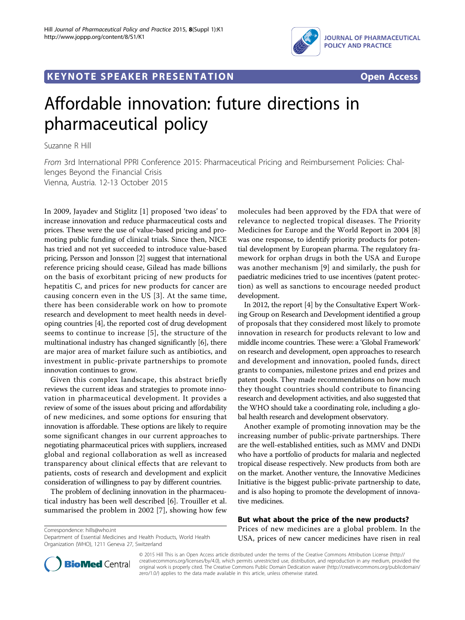## **JOURNAL OF PHARMACEUTICAL POLICY AND PRACTICE**

### KEYNOTE SPEAKER PRESENTATION COPEN ACCESS



# Affordable innovation: future directions in pharmaceutical policy

Suzanne R Hill

From 3rd International PPRI Conference 2015: Pharmaceutical Pricing and Reimbursement Policies: Challenges Beyond the Financial Crisis Vienna, Austria. 12-13 October 2015

In 2009, Jayadev and Stiglitz [\[1](#page-1-0)] proposed 'two ideas' to increase innovation and reduce pharmaceutical costs and prices. These were the use of value-based pricing and promoting public funding of clinical trials. Since then, NICE has tried and not yet succeeded to introduce value-based pricing, Persson and Jonsson [\[2\]](#page-1-0) suggest that international reference pricing should cease, Gilead has made billions on the basis of exorbitant pricing of new products for hepatitis C, and prices for new products for cancer are causing concern even in the US [[3\]](#page-1-0). At the same time, there has been considerable work on how to promote research and development to meet health needs in developing countries [\[4](#page-1-0)], the reported cost of drug development seems to continue to increase [[5](#page-1-0)], the structure of the multinational industry has changed significantly [[6\]](#page-1-0), there are major area of market failure such as antibiotics, and investment in public-private partnerships to promote innovation continues to grow.

Given this complex landscape, this abstract briefly reviews the current ideas and strategies to promote innovation in pharmaceutical development. It provides a review of some of the issues about pricing and affordability of new medicines, and some options for ensuring that innovation is affordable. These options are likely to require some significant changes in our current approaches to negotiating pharmaceutical prices with suppliers, increased global and regional collaboration as well as increased transparency about clinical effects that are relevant to patients, costs of research and development and explicit consideration of willingness to pay by different countries.

The problem of declining innovation in the pharmaceutical industry has been well described [[6\]](#page-1-0). Trouiller et al. summarised the problem in 2002 [[7\]](#page-1-0), showing how few

Correspondence: [hills@who.int](mailto:hills@who.int)

molecules had been approved by the FDA that were of relevance to neglected tropical diseases. The Priority Medicines for Europe and the World Report in 2004 [\[8](#page-1-0)] was one response, to identify priority products for potential development by European pharma. The regulatory framework for orphan drugs in both the USA and Europe was another mechanism [[9](#page-1-0)] and similarly, the push for paediatric medicines tried to use incentives (patent protection) as well as sanctions to encourage needed product development.

In 2012, the report [\[4\]](#page-1-0) by the Consultative Expert Working Group on Research and Development identified a group of proposals that they considered most likely to promote innovation in research for products relevant to low and middle income countries. These were: a 'Global Framework' on research and development, open approaches to research and development and innovation, pooled funds, direct grants to companies, milestone prizes and end prizes and patent pools. They made recommendations on how much they thought countries should contribute to financing research and development activities, and also suggested that the WHO should take a coordinating role, including a global health research and development observatory.

Another example of promoting innovation may be the increasing number of public-private partnerships. There are the well-established entities, such as MMV and DNDi who have a portfolio of products for malaria and neglected tropical disease respectively. New products from both are on the market. Another venture, the Innovative Medicines Initiative is the biggest public-private partnership to date, and is also hoping to promote the development of innovative medicines.

#### But what about the price of the new products?

Prices of new medicines are a global problem. In the USA, prices of new cancer medicines have risen in real



© 2015 Hill This is an Open Access article distributed under the terms of the Creative Commons Attribution License ([http://](http://creativecommons.org/licenses/by/4.0) [creativecommons.org/licenses/by/4.0](http://creativecommons.org/licenses/by/4.0)), which permits unrestricted use, distribution, and reproduction in any medium, provided the original work is properly cited. The Creative Commons Public Domain Dedication waiver ([http://creativecommons.org/publicdomain/](http://creativecommons.org/publicdomain/zero/1.0/) [zero/1.0/](http://creativecommons.org/publicdomain/zero/1.0/)) applies to the data made available in this article, unless otherwise stated.

Department of Essential Medicines and Health Products, World Health Organization (WHO), 1211 Geneva 27, Switzerland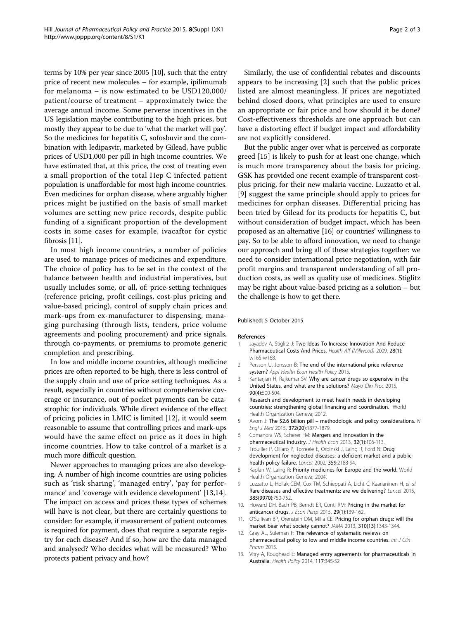<span id="page-1-0"></span>terms by 10% per year since 2005 [10], such that the entry price of recent new molecules – for example, ipilimumab for melanoma – is now estimated to be USD120,000/ patient/course of treatment – approximately twice the average annual income. Some perverse incentives in the US legislation maybe contributing to the high prices, but mostly they appear to be due to 'what the market will pay'. So the medicines for hepatitis C, sofosbuvir and the combination with ledipasvir, marketed by Gilead, have public prices of USD1,000 per pill in high income countries. We have estimated that, at this price, the cost of treating even a small proportion of the total Hep C infected patient population is unaffordable for most high income countries. Even medicines for orphan disease, where arguably higher prices might be justified on the basis of small market volumes are setting new price records, despite public funding of a significant proportion of the development costs in some cases for example, ivacaftor for cystic fibrosis [11].

In most high income countries, a number of policies are used to manage prices of medicines and expenditure. The choice of policy has to be set in the context of the balance between health and industrial imperatives, but usually includes some, or all, of: price-setting techniques (reference pricing, profit ceilings, cost-plus pricing and value-based pricing), control of supply chain prices and mark-ups from ex-manufacturer to dispensing, managing purchasing (through lists, tenders, price volume agreements and pooling procurement) and price signals, through co-payments, or premiums to promote generic completion and prescribing.

In low and middle income countries, although medicine prices are often reported to be high, there is less control of the supply chain and use of price setting techniques. As a result, especially in countries without comprehensive coverage or insurance, out of pocket payments can be catastrophic for individuals. While direct evidence of the effect of pricing policies in LMIC is limited [12], it would seem reasonable to assume that controlling prices and mark-ups would have the same effect on price as it does in high income countries. How to take control of a market is a much more difficult question.

Newer approaches to managing prices are also developing. A number of high income countries are using policies such as 'risk sharing', 'managed entry', 'pay for performance' and 'coverage with evidence development' [13,[14](#page-2-0)]. The impact on access and prices these types of schemes will have is not clear, but there are certainly questions to consider: for example, if measurement of patient outcomes is required for payment, does that require a separate registry for each disease? And if so, how are the data managed and analysed? Who decides what will be measured? Who protects patient privacy and how?

Similarly, the use of confidential rebates and discounts appears to be increasing [2] such that the public prices listed are almost meaningless. If prices are negotiated behind closed doors, what principles are used to ensure an appropriate or fair price and how should it be done? Cost-effectiveness thresholds are one approach but can have a distorting effect if budget impact and affordability are not explicitly considered.

But the public anger over what is perceived as corporate greed [\[15](#page-2-0)] is likely to push for at least one change, which is much more transparency about the basis for pricing. GSK has provided one recent example of transparent costplus pricing, for their new malaria vaccine. Luzzatto et al. [9] suggest the same principle should apply to prices for medicines for orphan diseases. Differential pricing has been tried by Gilead for its products for hepatitis C, but without consideration of budget impact, which has been proposed as an alternative [\[16\]](#page-2-0) or countries' willingness to pay. So to be able to afford innovation, we need to change our approach and bring all of these strategies together: we need to consider international price negotiation, with fair profit margins and transparent understanding of all production costs, as well as quality use of medicines. Stiglitz may be right about value-based pricing as a solution – but the challenge is how to get there.

#### Published: 5 October 2015

#### References

- 1. Jayadev A, Stiglitz J: [Two Ideas To Increase Innovation And Reduce](http://www.ncbi.nlm.nih.gov/pubmed/19088104?dopt=Abstract) [Pharmaceutical Costs And Prices.](http://www.ncbi.nlm.nih.gov/pubmed/19088104?dopt=Abstract) Health Aff (Millwood) 2009, 28(1): w165-w168.
- 2. Persson U, Jonsson B: The end of the international price reference system? Appl Health Econ Health Policy 2015.
- 3. Kantarjian H, Rajkumar SV: [Why are cancer drugs so expensive in the](http://www.ncbi.nlm.nih.gov/pubmed/25792242?dopt=Abstract) [United States, and what are the solutions?](http://www.ncbi.nlm.nih.gov/pubmed/25792242?dopt=Abstract) Mayo Clin Proc 2015, 90(4):500-504.
- 4. Research and development to meet health needs in developing countries: strengthening global financing and coordination. World Health Organization Geneva; 2012.
- 5. Avorn J: The \$2.6 billion pill [methodologic and policy considerations.](http://www.ncbi.nlm.nih.gov/pubmed/25970049?dopt=Abstract) N Engl J Med 2015, 372(20):1877-1879.
- 6. Comanora WS, Scherer FM: [Mergers and innovation in the](http://www.ncbi.nlm.nih.gov/pubmed/23220457?dopt=Abstract) [pharmaceutical industry.](http://www.ncbi.nlm.nih.gov/pubmed/23220457?dopt=Abstract) J Health Econ 2013, 32(1):106-113.
- 7. Trouiller P, Olliaro P, Torreele E, Orbinski J, Laing R, Ford N: [Drug](http://www.ncbi.nlm.nih.gov/pubmed/12090998?dopt=Abstract) [development for neglected diseases: a deficient market and a public](http://www.ncbi.nlm.nih.gov/pubmed/12090998?dopt=Abstract)[health policy failure.](http://www.ncbi.nlm.nih.gov/pubmed/12090998?dopt=Abstract) Lancet 2002, 359:2188-94.
- 8. Kaplan W, Laing R: Priority medicines for Europe and the world. World Health Organization Geneva; 2004.
- 9. Luzzatto L, Hollak CEM, Cox TM, Schieppati A, Licht C, Kaarianinen H, et al: [Rare diseases and effective treatments: are we delivering?](http://www.ncbi.nlm.nih.gov/pubmed/25752159?dopt=Abstract) Lancet 2015, 385(9970):750-752.
- 10. Howard DH, Bach PB, Berndt ER, Conti RM: Pricing in the market for anticancer drugs. J Econ Persp 2015, 29(1):139-162
- 11. O'Sullivan BP, Orenstein DM, Milla CE: [Pricing for orphan drugs: will the](http://www.ncbi.nlm.nih.gov/pubmed/24084916?dopt=Abstract) [market bear what society cannot?](http://www.ncbi.nlm.nih.gov/pubmed/24084916?dopt=Abstract) JAMA 2013, 310(13):1343-1344.
- 12. Gray AL, Suleman F: The relevance of systematic reviews on pharmaceutical policy to low and middle income countries. Int J Clin Pharm 2015.
- 13. Vitry A, Roughead E: [Managed entry agreements for pharmaceuticals in](http://www.ncbi.nlm.nih.gov/pubmed/24957419?dopt=Abstract) [Australia.](http://www.ncbi.nlm.nih.gov/pubmed/24957419?dopt=Abstract) Health Policy 2014, 117:345-52.